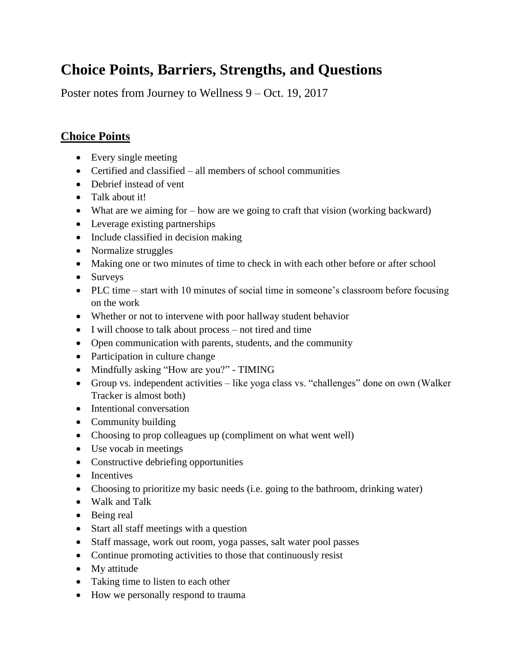# **Choice Points, Barriers, Strengths, and Questions**

Poster notes from Journey to Wellness 9 – Oct. 19, 2017

# **Choice Points**

- Every single meeting
- Certified and classified all members of school communities
- Debrief instead of vent
- Talk about it!
- What are we aiming for how are we going to craft that vision (working backward)
- Leverage existing partnerships
- Include classified in decision making
- Normalize struggles
- Making one or two minutes of time to check in with each other before or after school
- Surveys
- PLC time start with 10 minutes of social time in someone's classroom before focusing on the work
- Whether or not to intervene with poor hallway student behavior
- I will choose to talk about process not tired and time
- Open communication with parents, students, and the community
- Participation in culture change
- Mindfully asking "How are you?" TIMING
- Group vs. independent activities like yoga class vs. "challenges" done on own (Walker Tracker is almost both)
- Intentional conversation
- Community building
- Choosing to prop colleagues up (compliment on what went well)
- Use vocab in meetings
- Constructive debriefing opportunities
- Incentives
- Choosing to prioritize my basic needs (i.e. going to the bathroom, drinking water)
- Walk and Talk
- Being real
- Start all staff meetings with a question
- Staff massage, work out room, yoga passes, salt water pool passes
- Continue promoting activities to those that continuously resist
- My attitude
- Taking time to listen to each other
- How we personally respond to trauma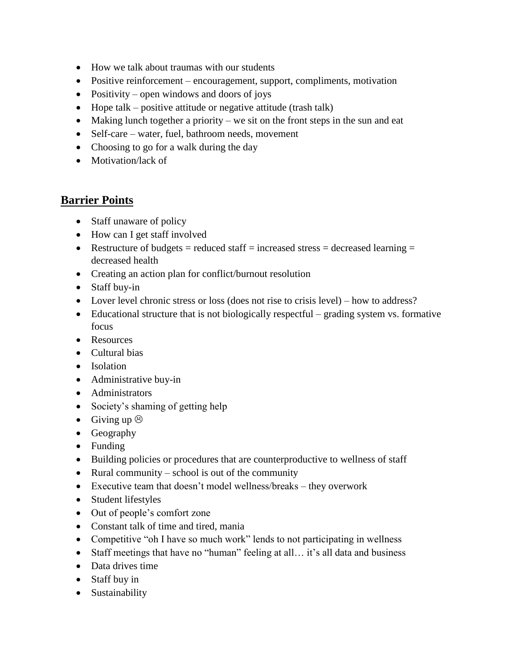- How we talk about traumas with our students
- Positive reinforcement encouragement, support, compliments, motivation
- Positivity open windows and doors of joys
- $\bullet$  Hope talk positive attitude or negative attitude (trash talk)
- $\bullet$  Making lunch together a priority we sit on the front steps in the sun and eat
- Self-care water, fuel, bathroom needs, movement
- Choosing to go for a walk during the day
- Motivation/lack of

#### **Barrier Points**

- Staff unaware of policy
- How can I get staff involved
- Restructure of budgets = reduced staff = increased stress = decreased learning = decreased health
- Creating an action plan for conflict/burnout resolution
- Staff buy-in
- Lover level chronic stress or loss (does not rise to crisis level) how to address?
- Educational structure that is not biologically respectful grading system vs. formative focus
- Resources
- Cultural bias
- Isolation
- Administrative buy-in
- Administrators
- Society's shaming of getting help
- Giving up  $\odot$
- Geography
- Funding
- Building policies or procedures that are counterproductive to wellness of staff
- Rural community school is out of the community
- Executive team that doesn't model wellness/breaks they overwork
- Student lifestyles
- Out of people's comfort zone
- Constant talk of time and tired, mania
- Competitive "oh I have so much work" lends to not participating in wellness
- Staff meetings that have no "human" feeling at all… it's all data and business
- Data drives time
- Staff buy in
- Sustainability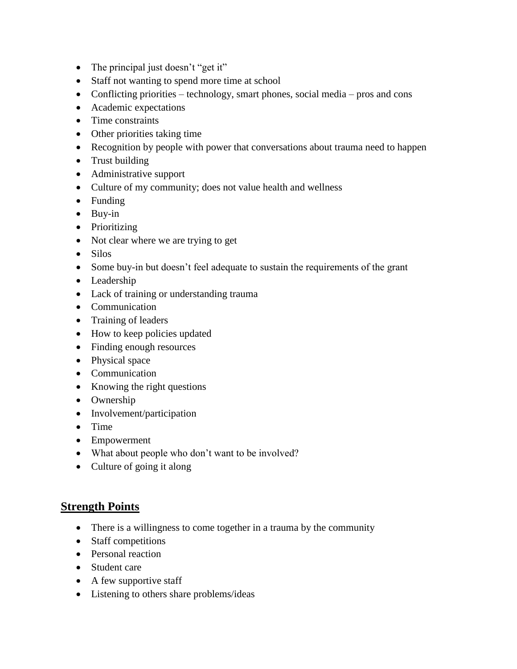- The principal just doesn't "get it"
- Staff not wanting to spend more time at school
- Conflicting priorities technology, smart phones, social media pros and cons
- Academic expectations
- Time constraints
- Other priorities taking time
- Recognition by people with power that conversations about trauma need to happen
- Trust building
- Administrative support
- Culture of my community; does not value health and wellness
- Funding
- Buy-in
- Prioritizing
- Not clear where we are trying to get
- Silos
- Some buy-in but doesn't feel adequate to sustain the requirements of the grant
- Leadership
- Lack of training or understanding trauma
- Communication
- Training of leaders
- How to keep policies updated
- Finding enough resources
- Physical space
- Communication
- Knowing the right questions
- Ownership
- Involvement/participation
- $\bullet$  Time
- Empowerment
- What about people who don't want to be involved?
- Culture of going it along

## **Strength Points**

- There is a willingness to come together in a trauma by the community
- Staff competitions
- Personal reaction
- Student care
- $\bullet$  A few supportive staff
- Listening to others share problems/ideas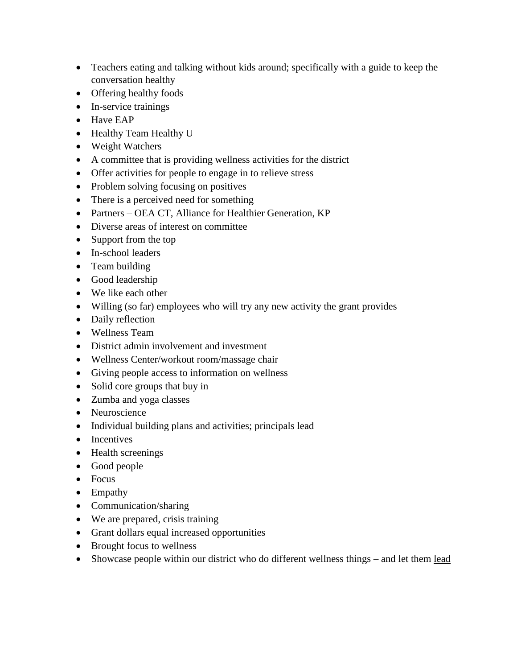- Teachers eating and talking without kids around; specifically with a guide to keep the conversation healthy
- Offering healthy foods
- In-service trainings
- Have EAP
- Healthy Team Healthy U
- Weight Watchers
- A committee that is providing wellness activities for the district
- Offer activities for people to engage in to relieve stress
- Problem solving focusing on positives
- There is a perceived need for something
- Partners OEA CT, Alliance for Healthier Generation, KP
- Diverse areas of interest on committee
- Support from the top
- In-school leaders
- Team building
- Good leadership
- We like each other
- Willing (so far) employees who will try any new activity the grant provides
- Daily reflection
- Wellness Team
- District admin involvement and investment
- Wellness Center/workout room/massage chair
- Giving people access to information on wellness
- Solid core groups that buy in
- Zumba and yoga classes
- Neuroscience
- Individual building plans and activities; principals lead
- Incentives
- Health screenings
- Good people
- Focus
- Empathy
- Communication/sharing
- We are prepared, crisis training
- Grant dollars equal increased opportunities
- Brought focus to wellness
- Showcase people within our district who do different wellness things and let them <u>lead</u>